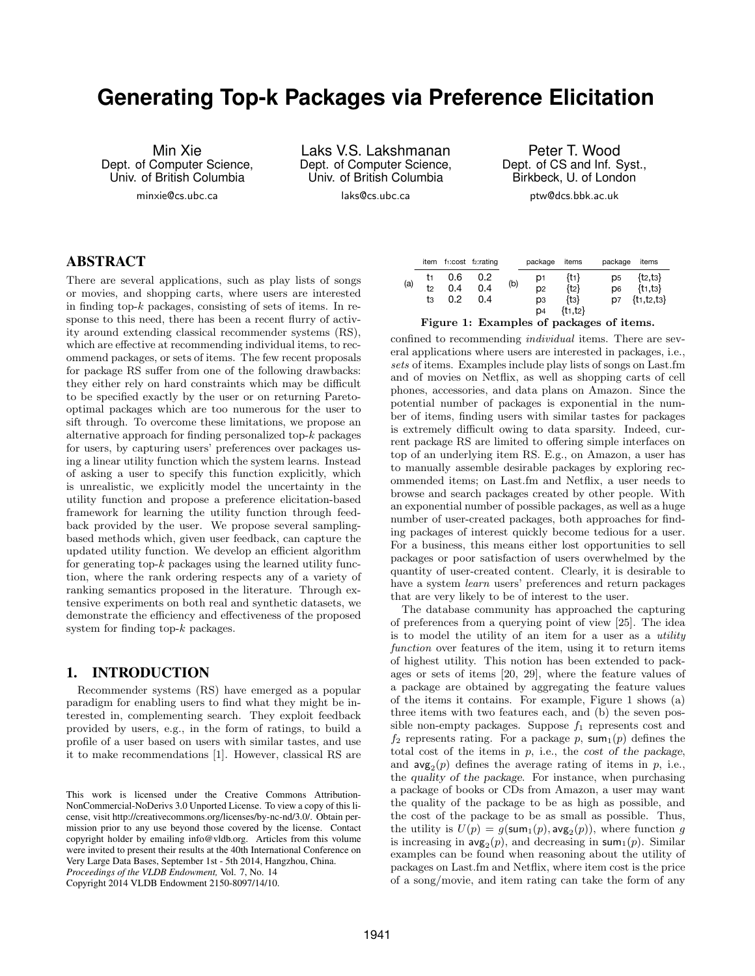# **Generating Top-k Packages via Preference Elicitation**

Min Xie Dept. of Computer Science, Univ. of British Columbia

minxie@cs.ubc.ca

Laks V.S. Lakshmanan Dept. of Computer Science, Univ. of British Columbia

laks@cs.ubc.ca

Peter T. Wood Dept. of CS and Inf. Syst., Birkbeck, U. of London

ptw@dcs.bbk.ac.uk

# ABSTRACT

There are several applications, such as play lists of songs or movies, and shopping carts, where users are interested in finding top- $k$  packages, consisting of sets of items. In response to this need, there has been a recent flurry of activity around extending classical recommender systems (RS), which are effective at recommending individual items, to recommend packages, or sets of items. The few recent proposals for package RS suffer from one of the following drawbacks: they either rely on hard constraints which may be difficult to be specified exactly by the user or on returning Paretooptimal packages which are too numerous for the user to sift through. To overcome these limitations, we propose an alternative approach for finding personalized top-k packages for users, by capturing users' preferences over packages using a linear utility function which the system learns. Instead of asking a user to specify this function explicitly, which is unrealistic, we explicitly model the uncertainty in the utility function and propose a preference elicitation-based framework for learning the utility function through feedback provided by the user. We propose several samplingbased methods which, given user feedback, can capture the updated utility function. We develop an efficient algorithm for generating top- $k$  packages using the learned utility function, where the rank ordering respects any of a variety of ranking semantics proposed in the literature. Through extensive experiments on both real and synthetic datasets, we demonstrate the efficiency and effectiveness of the proposed system for finding top- $k$  packages. There are several applications, such as play lists of songs have been are incomparison or movies, and a<br>hopping carts, where users are interested to the finding top-k package, consisting of sets of items. In region<br>sponse

## 1. INTRODUCTION

Recommender systems (RS) have emerged as a popular paradigm for enabling users to find what they might be interested in, complementing search. They exploit feedback provided by users, e.g., in the form of ratings, to build a profile of a user based on users with similar tastes, and use it to make recommendations [1]. However, classical RS are

|     |                      |            | item f <sub>1</sub> :cost f <sub>2</sub> :rating |     | package                          | items                                   | package                          | items                                                 |
|-----|----------------------|------------|--------------------------------------------------|-----|----------------------------------|-----------------------------------------|----------------------------------|-------------------------------------------------------|
| (a) | t1<br>t <sub>2</sub> | 0.6<br>0.4 | 0.2<br>0.4                                       | (b) | D <sub>1</sub><br>D <sub>2</sub> | {t1}<br>${t_2}$<br>{t3}<br>${t_1, t_2}$ | D <sub>5</sub><br>D <sub>6</sub> | $\{t_2, t_3\}$<br>${t_1, t_3}$<br>$\{t_1, t_2, t_3\}$ |
|     | tз                   | 0.2        | 0.4                                              |     | D <sub>3</sub><br>D <sub>4</sub> |                                         | D7                               |                                                       |
|     |                      |            |                                                  |     |                                  |                                         |                                  |                                                       |

Figure 1: Examples of packages of items.

confined to recommending individual items. There are several applications where users are interested in packages, i.e., sets of items. Examples include play lists of songs on Last.fm and of movies on Netflix, as well as shopping carts of cell phones, accessories, and data plans on Amazon. Since the potential number of packages is exponential in the number of items, finding users with similar tastes for packages is extremely difficult owing to data sparsity. Indeed, current package RS are limited to offering simple interfaces on top of an underlying item RS. E.g., on Amazon, a user has to manually assemble desirable packages by exploring recommended items; on Last.fm and Netflix, a user needs to browse and search packages created by other people. With an exponential number of possible packages, as well as a huge number of user-created packages, both approaches for finding packages of interest quickly become tedious for a user. For a business, this means either lost opportunities to sell packages or poor satisfaction of users overwhelmed by the quantity of user-created content. Clearly, it is desirable to have a system learn users' preferences and return packages that are very likely to be of interest to the user.

The database community has approached the capturing of preferences from a querying point of view [25]. The idea is to model the utility of an item for a user as a utility function over features of the item, using it to return items of highest utility. This notion has been extended to packages or sets of items [20, 29], where the feature values of a package are obtained by aggregating the feature values of the items it contains. For example, Figure 1 shows (a) three items with two features each, and (b) the seven possible non-empty packages. Suppose  $f_1$  represents cost and  $f_2$  represents rating. For a package p, sum<sub>1</sub>(p) defines the total cost of the items in  $p$ , i.e., the cost of the package, and  $\arg_2(p)$  defines the average rating of items in p, i.e., the quality of the package. For instance, when purchasing a package of books or CDs from Amazon, a user may want the quality of the package to be as high as possible, and the cost of the package to be as small as possible. Thus, the utility is  $U(p) = g(\text{sum}_1(p), \text{avg}_2(p))$ , where function g is increasing in  $\mathsf{avg}_2(p)$ , and decreasing in  $\mathsf{sum}_1(p)$ . Similar examples can be found when reasoning about the utility of packages on Last.fm and Netflix, where item cost is the price of a song/movie, and item rating can take the form of any

This work is licensed under the Creative Commons Attribution-NonCommercial-NoDerivs 3.0 Unported License. To view a copy of this license, visit http://creativecommons.org/licenses/by-nc-nd/3.0/. Obtain permission prior to any use beyond those covered by the license. Contact copyright holder by emailing info@vldb.org. Articles from this volume were invited to present their results at the 40th International Conference on Very Large Data Bases, September 1st - 5th 2014, Hangzhou, China. *Proceedings of the VLDB Endowment,* Vol. 7, No. 14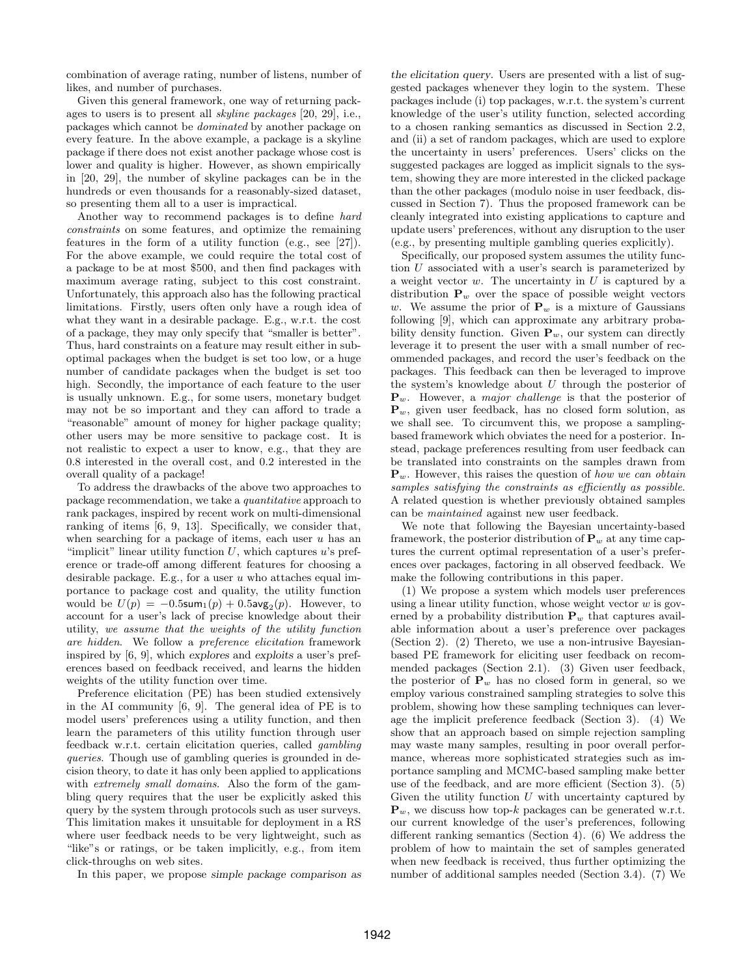combination of average rating, number of listens, number of likes, and number of purchases.

Given this general framework, one way of returning packages to users is to present all skyline packages [20, 29], i.e., packages which cannot be dominated by another package on every feature. In the above example, a package is a skyline package if there does not exist another package whose cost is lower and quality is higher. However, as shown empirically in [20, 29], the number of skyline packages can be in the hundreds or even thousands for a reasonably-sized dataset, so presenting them all to a user is impractical.

Another way to recommend packages is to define hard constraints on some features, and optimize the remaining features in the form of a utility function (e.g., see [27]). For the above example, we could require the total cost of a package to be at most \$500, and then find packages with maximum average rating, subject to this cost constraint. Unfortunately, this approach also has the following practical limitations. Firstly, users often only have a rough idea of what they want in a desirable package. E.g., w.r.t. the cost of a package, they may only specify that "smaller is better". Thus, hard constraints on a feature may result either in suboptimal packages when the budget is set too low, or a huge number of candidate packages when the budget is set too high. Secondly, the importance of each feature to the user is usually unknown. E.g., for some users, monetary budget may not be so important and they can afford to trade a "reasonable" amount of money for higher package quality; other users may be more sensitive to package cost. It is not realistic to expect a user to know, e.g., that they are 0.8 interested in the overall cost, and 0.2 interested in the overall quality of a package!

To address the drawbacks of the above two approaches to package recommendation, we take a quantitative approach to rank packages, inspired by recent work on multi-dimensional ranking of items [6, 9, 13]. Specifically, we consider that, when searching for a package of items, each user  $u$  has an "implicit" linear utility function  $U$ , which captures  $u$ 's preference or trade-off among different features for choosing a desirable package. E.g., for a user  $u$  who attaches equal importance to package cost and quality, the utility function would be  $U(p) = -0.5$ sum $_1(p) + 0.5$ avg $_2(p)$ . However, to account for a user's lack of precise knowledge about their utility, we assume that the weights of the utility function are hidden. We follow a preference elicitation framework inspired by [6, 9], which explores and exploits a user's preferences based on feedback received, and learns the hidden weights of the utility function over time.

Preference elicitation (PE) has been studied extensively in the AI community [6, 9]. The general idea of PE is to model users' preferences using a utility function, and then learn the parameters of this utility function through user feedback w.r.t. certain elicitation queries, called gambling queries. Though use of gambling queries is grounded in decision theory, to date it has only been applied to applications with *extremely small domains*. Also the form of the gambling query requires that the user be explicitly asked this query by the system through protocols such as user surveys. This limitation makes it unsuitable for deployment in a RS where user feedback needs to be very lightweight, such as "like"s or ratings, or be taken implicitly, e.g., from item click-throughs on web sites.

In this paper, we propose simple package comparison as

the elicitation query. Users are presented with a list of suggested packages whenever they login to the system. These packages include (i) top packages, w.r.t. the system's current knowledge of the user's utility function, selected according to a chosen ranking semantics as discussed in Section 2.2, and (ii) a set of random packages, which are used to explore the uncertainty in users' preferences. Users' clicks on the suggested packages are logged as implicit signals to the system, showing they are more interested in the clicked package than the other packages (modulo noise in user feedback, discussed in Section 7). Thus the proposed framework can be cleanly integrated into existing applications to capture and update users' preferences, without any disruption to the user (e.g., by presenting multiple gambling queries explicitly).

Specifically, our proposed system assumes the utility function U associated with a user's search is parameterized by a weight vector  $w$ . The uncertainty in  $U$  is captured by a distribution  $P_w$  over the space of possible weight vectors w. We assume the prior of  $P_w$  is a mixture of Gaussians following [9], which can approximate any arbitrary probability density function. Given  $\mathbf{P}_w$ , our system can directly leverage it to present the user with a small number of recommended packages, and record the user's feedback on the packages. This feedback can then be leveraged to improve the system's knowledge about  $U$  through the posterior of  $\mathbf{P}_w$ . However, a *major challenge* is that the posterior of  $\mathbf{P}_w$ , given user feedback, has no closed form solution, as we shall see. To circumvent this, we propose a samplingbased framework which obviates the need for a posterior. Instead, package preferences resulting from user feedback can be translated into constraints on the samples drawn from  $\mathbf{P}_w$ . However, this raises the question of *how we can obtain* samples satisfying the constraints as efficiently as possible. A related question is whether previously obtained samples can be maintained against new user feedback.

We note that following the Bayesian uncertainty-based framework, the posterior distribution of  $P_w$  at any time captures the current optimal representation of a user's preferences over packages, factoring in all observed feedback. We make the following contributions in this paper.

(1) We propose a system which models user preferences using a linear utility function, whose weight vector  $w$  is governed by a probability distribution  $P_w$  that captures available information about a user's preference over packages (Section 2). (2) Thereto, we use a non-intrusive Bayesianbased PE framework for eliciting user feedback on recommended packages (Section 2.1). (3) Given user feedback, the posterior of  $P_w$  has no closed form in general, so we employ various constrained sampling strategies to solve this problem, showing how these sampling techniques can leverage the implicit preference feedback (Section 3). (4) We show that an approach based on simple rejection sampling may waste many samples, resulting in poor overall performance, whereas more sophisticated strategies such as importance sampling and MCMC-based sampling make better use of the feedback, and are more efficient (Section 3). (5) Given the utility function  $U$  with uncertainty captured by  ${\bf P}_w$ , we discuss how top-k packages can be generated w.r.t. our current knowledge of the user's preferences, following different ranking semantics (Section 4). (6) We address the problem of how to maintain the set of samples generated when new feedback is received, thus further optimizing the number of additional samples needed (Section 3.4). (7) We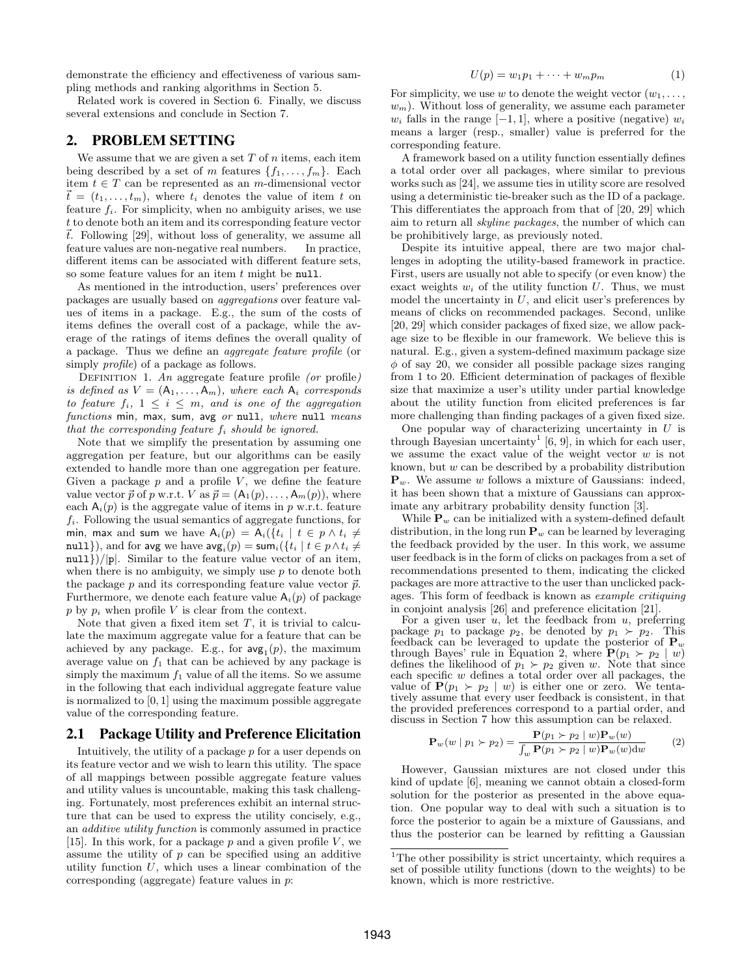demonstrate the efficiency and effectiveness of various sampling methods and ranking algorithms in Section 5.

Related work is covered in Section 6. Finally, we discuss several extensions and conclude in Section 7.

# 2. PROBLEM SETTING

We assume that we are given a set  $T$  of  $n$  items, each item being described by a set of m features  $\{f_1, \ldots, f_m\}$ . Each item  $t \in T$  can be represented as an *m*-dimensional vector  $\vec{t} = (t_1, \ldots, t_m)$ , where  $t_i$  denotes the value of item t on feature  $f_i$ . For simplicity, when no ambiguity arises, we use t to denote both an item and its corresponding feature vector  $\vec{t}$ . Following [29], without loss of generality, we assume all feature values are non-negative real numbers. In practice, different items can be associated with different feature sets, so some feature values for an item  $t$  might be null.

As mentioned in the introduction, users' preferences over packages are usually based on aggregations over feature values of items in a package. E.g., the sum of the costs of items defines the overall cost of a package, while the average of the ratings of items defines the overall quality of a package. Thus we define an aggregate feature profile (or simply *profile*) of a package as follows.

DEFINITION 1. An aggregate feature profile (or profile) is defined as  $V = (A_1, \ldots, A_m)$ , where each  $A_i$  corresponds to feature  $f_i$ ,  $1 \leq i \leq m$ , and is one of the aggregation functions min, max, sum, avg or null, where null means that the corresponding feature  $f_i$  should be ignored.

Note that we simplify the presentation by assuming one aggregation per feature, but our algorithms can be easily extended to handle more than one aggregation per feature. Given a package  $p$  and a profile  $V$ , we define the feature value vector  $\vec{p}$  of p w.r.t.  $V$  as  $\vec{p} = (A_1(p), \ldots, A_m(p)),$  where each  $A_i(p)$  is the aggregate value of items in p w.r.t. feature  $f_i$ . Following the usual semantics of aggregate functions, for min, max and sum we have  $A_i(p) = A_i({t_i | t \in p \wedge t_i \neq \emptyset})$ null}), and for avg we have  $\mathsf{avg}_i(p) = \mathsf{sum}_i(\{t_i \mid t \in p \land t_i \neq 0\})$  $\text{null}$ )/|p|. Similar to the feature value vector of an item, when there is no ambiguity, we simply use  $p$  to denote both the package p and its corresponding feature value vector  $\vec{p}$ . Furthermore, we denote each feature value  $A_i(p)$  of package  $p$  by  $p_i$  when profile V is clear from the context.

Note that given a fixed item set  $T$ , it is trivial to calculate the maximum aggregate value for a feature that can be achieved by any package. E.g., for  $\text{avg}_1(p)$ , the maximum average value on  $f_1$  that can be achieved by any package is simply the maximum  $f_1$  value of all the items. So we assume in the following that each individual aggregate feature value is normalized to [0, 1] using the maximum possible aggregate value of the corresponding feature.

## 2.1 Package Utility and Preference Elicitation

Intuitively, the utility of a package  $p$  for a user depends on its feature vector and we wish to learn this utility. The space of all mappings between possible aggregate feature values and utility values is uncountable, making this task challenging. Fortunately, most preferences exhibit an internal structure that can be used to express the utility concisely, e.g., an additive utility function is commonly assumed in practice [15]. In this work, for a package  $p$  and a given profile  $V$ , we assume the utility of  $p$  can be specified using an additive utility function  $U$ , which uses a linear combination of the corresponding (aggregate) feature values in p:

$$
U(p) = w_1 p_1 + \dots + w_m p_m \tag{1}
$$

For simplicity, we use w to denote the weight vector  $(w_1, \ldots,$  $w_m$ ). Without loss of generality, we assume each parameter  $w_i$  falls in the range  $[-1, 1]$ , where a positive (negative)  $w_i$ means a larger (resp., smaller) value is preferred for the corresponding feature.

A framework based on a utility function essentially defines a total order over all packages, where similar to previous works such as [24], we assume ties in utility score are resolved using a deterministic tie-breaker such as the ID of a package. This differentiates the approach from that of [20, 29] which aim to return all skyline packages, the number of which can be prohibitively large, as previously noted.

Despite its intuitive appeal, there are two major challenges in adopting the utility-based framework in practice. First, users are usually not able to specify (or even know) the exact weights  $w_i$  of the utility function U. Thus, we must model the uncertainty in  $U$ , and elicit user's preferences by means of clicks on recommended packages. Second, unlike [20, 29] which consider packages of fixed size, we allow package size to be flexible in our framework. We believe this is natural. E.g., given a system-defined maximum package size  $\phi$  of say 20, we consider all possible package sizes ranging from 1 to 20. Efficient determination of packages of flexible size that maximize a user's utility under partial knowledge about the utility function from elicited preferences is far more challenging than finding packages of a given fixed size.

One popular way of characterizing uncertainty in  $U$  is through Bayesian uncertainty<sup>1</sup> [6, 9], in which for each user, we assume the exact value of the weight vector  $w$  is not known, but  $w$  can be described by a probability distribution  $\mathbf{P}_w$ . We assume w follows a mixture of Gaussians: indeed, it has been shown that a mixture of Gaussians can approximate any arbitrary probability density function [3].

While  $P_w$  can be initialized with a system-defined default distribution, in the long run  $\mathbf{P}_w$  can be learned by leveraging the feedback provided by the user. In this work, we assume user feedback is in the form of clicks on packages from a set of recommendations presented to them, indicating the clicked packages are more attractive to the user than unclicked packages. This form of feedback is known as example critiquing in conjoint analysis [26] and preference elicitation [21].

For a given user  $u$ , let the feedback from  $u$ , preferring package  $p_1$  to package  $p_2$ , be denoted by  $p_1 \succ p_2$ . This feedback can be leveraged to update the posterior of  $P_w$ through Bayes' rule in Equation 2, where  $P(p_1 \succ p_2 \mid w)$ defines the likelihood of  $p_1 \succ p_2$  given w. Note that since each specific w defines a total order over all packages, the value of  $P(p_1 \succ p_2 \mid w)$  is either one or zero. We tentatively assume that every user feedback is consistent, in that the provided preferences correspond to a partial order, and discuss in Section 7 how this assumption can be relaxed.

$$
\mathbf{P}_w(w \mid p_1 \succ p_2) = \frac{\mathbf{P}(p_1 \succ p_2 \mid w)\mathbf{P}_w(w)}{\int_w \mathbf{P}(p_1 \succ p_2 \mid w)\mathbf{P}_w(w)dw} \tag{2}
$$

However, Gaussian mixtures are not closed under this kind of update [6], meaning we cannot obtain a closed-form solution for the posterior as presented in the above equation. One popular way to deal with such a situation is to force the posterior to again be a mixture of Gaussians, and thus the posterior can be learned by refitting a Gaussian

 $^{\rm 1}{\rm The}$  other possibility is strict uncertainty, which requires a set of possible utility functions (down to the weights) to be known, which is more restrictive.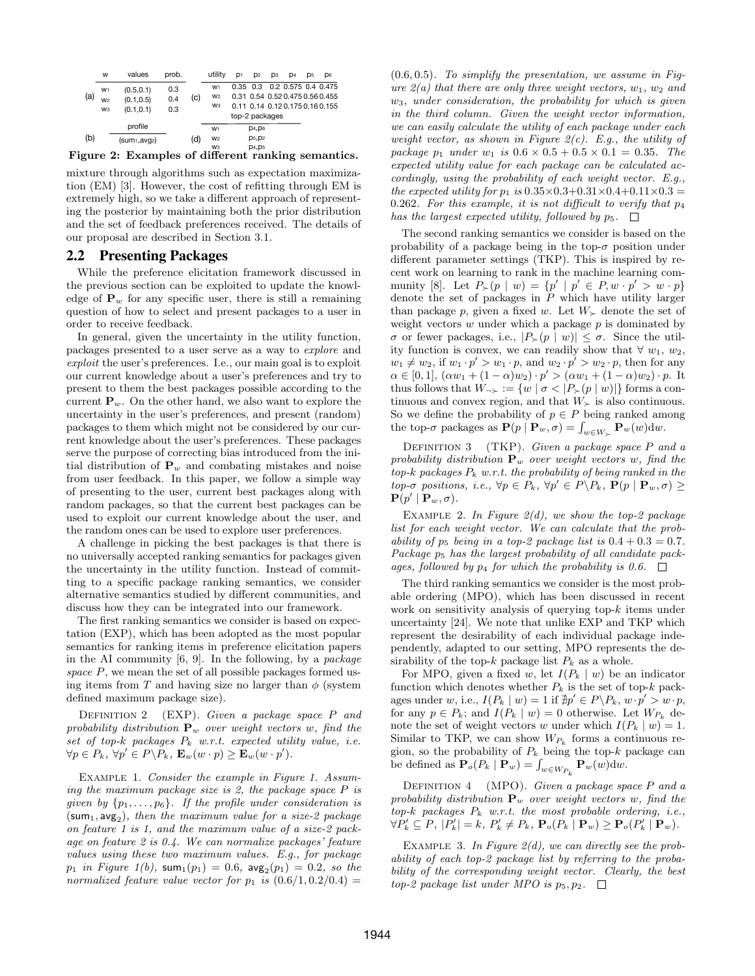

Figure 2: Examples of different ranking semantics.

mixture through algorithms such as expectation maximization (EM) [3]. However, the cost of refitting through EM is extremely high, so we take a different approach of representing the posterior by maintaining both the prior distribution and the set of feedback preferences received. The details of our proposal are described in Section 3.1.

## 2.2 Presenting Packages

While the preference elicitation framework discussed in the previous section can be exploited to update the knowledge of  $\mathbf{P}_w$  for any specific user, there is still a remaining question of how to select and present packages to a user in order to receive feedback.

In general, given the uncertainty in the utility function, packages presented to a user serve as a way to explore and exploit the user's preferences. I.e., our main goal is to exploit our current knowledge about a user's preferences and try to present to them the best packages possible according to the current  $P_w$ . On the other hand, we also want to explore the uncertainty in the user's preferences, and present (random) packages to them which might not be considered by our current knowledge about the user's preferences. These packages serve the purpose of correcting bias introduced from the initial distribution of  $P_w$  and combating mistakes and noise from user feedback. In this paper, we follow a simple way of presenting to the user, current best packages along with random packages, so that the current best packages can be used to exploit our current knowledge about the user, and the random ones can be used to explore user preferences.

A challenge in picking the best packages is that there is no universally accepted ranking semantics for packages given the uncertainty in the utility function. Instead of committing to a specific package ranking semantics, we consider alternative semantics studied by different communities, and discuss how they can be integrated into our framework.

The first ranking semantics we consider is based on expectation (EXP), which has been adopted as the most popular semantics for ranking items in preference elicitation papers in the AI community [6, 9]. In the following, by a package space P, we mean the set of all possible packages formed using items from T and having size no larger than  $\phi$  (system defined maximum package size).

DEFINITION 2  $(EXP)$ . Given a package space P and probability distribution  $P_w$  over weight vectors w, find the set of top-k packages  $P_k$  w.r.t. expected utility value, i.e.  $\forall p \in P_k, \, \forall p' \in P \backslash P_k, \, \mathbf{E}_w(w \cdot p) \geq \mathbf{E}_w(w \cdot p').$ 

EXAMPLE 1. Consider the example in Figure 1. Assuming the maximum package size is 2, the package space  $P$  is given by  $\{p_1, \ldots, p_6\}$ . If the profile under consideration is  $(\mathsf{sum}_1, \mathsf{avg}_2)$ , then the maximum value for a size-2 package on feature 1 is 1, and the maximum value of a size-2 package on feature 2 is 0.4. We can normalize packages' feature values using these two maximum values. E.g., for package  $p_1$  in Figure 1(b),  $\textsf{sum}_1(p_1) = 0.6$ ,  $\textsf{avg}_2(p_1) = 0.2$ , so the normalized feature value vector for  $p_1$  is  $(0.6/1, 0.2/0.4)$  =

 $(0.6, 0.5)$ . To simplify the presentation, we assume in Figure  $2(a)$  that there are only three weight vectors,  $w_1, w_2$  and w3, under consideration, the probability for which is given in the third column. Given the weight vector information, we can easily calculate the utility of each package under each weight vector, as shown in Figure  $2(c)$ . E.g., the utility of package  $p_1$  under  $w_1$  is  $0.6 \times 0.5 + 0.5 \times 0.1 = 0.35$ . The expected utility value for each package can be calculated accordingly, using the probability of each weight vector. E.g., the expected utility for  $p_1$  is  $0.35 \times 0.3 + 0.31 \times 0.4 + 0.11 \times 0.3 =$ 0.262. For this example, it is not difficult to verify that  $p_4$ has the largest expected utility, followed by  $p_5$ .  $\Box$ 

The second ranking semantics we consider is based on the probability of a package being in the top- $\sigma$  position under different parameter settings (TKP). This is inspired by recent work on learning to rank in the machine learning community [8]. Let  $P_{\succ}(p \mid w) = \{p' \mid p' \in P, w \cdot p' > w \cdot p\}$ denote the set of packages in  $P$  which have utility larger than package p, given a fixed w. Let  $W_{\succ}$  denote the set of weight vectors  $w$  under which a package  $p$  is dominated by σ or fewer packages, i.e.,  $|P_{\succ}(p | w)| \leq \sigma$ . Since the utility function is convex, we can readily show that  $\forall w_1, w_2$ ,  $w_1 \neq w_2$ , if  $w_1 \cdot p' > w_1 \cdot p$ , and  $w_2 \cdot p' > w_2 \cdot p$ , then for any  $\alpha \in [0, 1], (\alpha w_1 + (1 - \alpha)w_2) \cdot p' > (\alpha w_1 + (1 - \alpha)w_2) \cdot p$ . It thus follows that  $W_{\neg \succ} := \{ w \mid \sigma < |P_{\succ}(p \mid w)| \}$  forms a continuous and convex region, and that  $W_{\succ}$  is also continuous. So we define the probability of  $p \in P$  being ranked among the top- $\sigma$  packages as  $\mathbf{P}(p | \mathbf{P}_w, \sigma) = \int_{w \in W_{\succ}} \mathbf{P}_w(w) \, dw$ .

DEFINITION  $3$  (TKP). Given a package space P and a probability distribution  $P_w$  over weight vectors w, find the top-k packages  $P_k$  w.r.t. the probability of being ranked in the top- $\sigma$  positions, i.e.,  $\forall p \in P_k$ ,  $\forall p' \in P \backslash P_k$ ,  $\mathbf{P}(p \mid \mathbf{P}_w, \sigma) \geq$  $\mathbf{P}(p' | \mathbf{P}_w, \sigma)$ .

EXAMPLE 2. In Figure  $2(d)$ , we show the top-2 package list for each weight vector. We can calculate that the probability of  $p_5$  being in a top-2 package list is  $0.4 + 0.3 = 0.7$ . Package p<sup>5</sup> has the largest probability of all candidate packages, followed by  $p_4$  for which the probability is 0.6.  $\Box$ 

The third ranking semantics we consider is the most probable ordering (MPO), which has been discussed in recent work on sensitivity analysis of querying top-k items under uncertainty [24]. We note that unlike EXP and TKP which represent the desirability of each individual package independently, adapted to our setting, MPO represents the desirability of the top- $k$  package list  $P_k$  as a whole.

For MPO, given a fixed w, let  $I(P_k | w)$  be an indicator function which denotes whether  $P_k$  is the set of top-k packages under w, i.e.,  $I(P_k | w) = 1$  if  $\sharp p' \in P \backslash P_k$ ,  $w \cdot p' > w \cdot p$ , for any  $p \in P_k$ ; and  $I(P_k | w) = 0$  otherwise. Let  $W_{P_k}$  denote the set of weight vectors w under which  $I(P_k | w) = 1$ . Similar to TKP, we can show  $W_{P_k}$  forms a continuous region, so the probability of  $P_k$  being the top- $k$  package can be defined as  $\mathbf{P}_o(P_k | \mathbf{P}_w) = \int_{w \in W_{P_k}} \mathbf{P}_w(w) \mathrm{d}w$ .

DEFINITION  $4$  (MPO). Given a package space P and a probability distribution  $P_w$  over weight vectors w, find the top-k packages  $P_k$  w.r.t. the most probable ordering, i.e.,  $\forall P'_k \subseteq P, |P'_k| = k, P'_k \neq P_k, \mathbf{P}_o(P_k | \mathbf{P}_w) \geq \mathbf{P}_o(P'_k | \mathbf{P}_w).$ 

EXAMPLE 3. In Figure  $2(d)$ , we can directly see the probability of each top-2 package list by referring to the probability of the corresponding weight vector. Clearly, the best top-2 package list under MPO is  $p_5, p_2$ .  $\Box$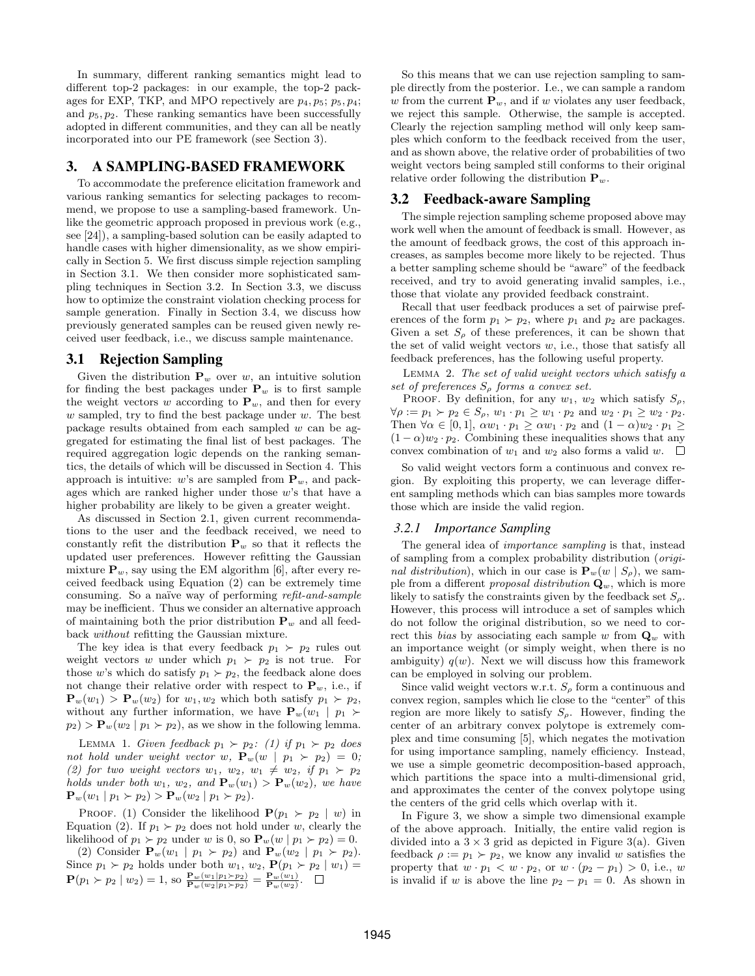In summary, different ranking semantics might lead to different top-2 packages: in our example, the top-2 packages for EXP, TKP, and MPO repectively are  $p_4$ ,  $p_5$ ;  $p_5$ ,  $p_4$ ; and  $p_5, p_2$ . These ranking semantics have been successfully adopted in different communities, and they can all be neatly incorporated into our PE framework (see Section 3).

# 3. A SAMPLING-BASED FRAMEWORK

To accommodate the preference elicitation framework and various ranking semantics for selecting packages to recommend, we propose to use a sampling-based framework. Unlike the geometric approach proposed in previous work (e.g., see [24]), a sampling-based solution can be easily adapted to handle cases with higher dimensionality, as we show empirically in Section 5. We first discuss simple rejection sampling in Section 3.1. We then consider more sophisticated sampling techniques in Section 3.2. In Section 3.3, we discuss how to optimize the constraint violation checking process for sample generation. Finally in Section 3.4, we discuss how previously generated samples can be reused given newly received user feedback, i.e., we discuss sample maintenance.

## 3.1 Rejection Sampling

Given the distribution  $P_w$  over w, an intuitive solution for finding the best packages under  $P_w$  is to first sample the weight vectors w according to  $\mathbf{P}_w$ , and then for every w sampled, try to find the best package under  $w$ . The best package results obtained from each sampled w can be aggregated for estimating the final list of best packages. The required aggregation logic depends on the ranking semantics, the details of which will be discussed in Section 4. This approach is intuitive: w's are sampled from  $\mathbf{P}_w$ , and packages which are ranked higher under those w's that have a higher probability are likely to be given a greater weight.

As discussed in Section 2.1, given current recommendations to the user and the feedback received, we need to constantly refit the distribution  $P_w$  so that it reflects the updated user preferences. However refitting the Gaussian mixture  $\mathbf{P}_w$ , say using the EM algorithm [6], after every received feedback using Equation (2) can be extremely time consuming. So a naïve way of performing refit-and-sample may be inefficient. Thus we consider an alternative approach of maintaining both the prior distribution  $P_w$  and all feedback without refitting the Gaussian mixture.

The key idea is that every feedback  $p_1 \succ p_2$  rules out weight vectors w under which  $p_1 \succ p_2$  is not true. For those w's which do satisfy  $p_1 \succ p_2$ , the feedback alone does not change their relative order with respect to  $\mathbf{P}_w$ , i.e., if  $\mathbf{P}_w(w_1) > \mathbf{P}_w(w_2)$  for  $w_1, w_2$  which both satisfy  $p_1 \succ p_2$ , without any further information, we have  $P_w(w_1 | p_1 \succ$  $p_2$ ) >  $\mathbf{P}_w(w_2 | p_1 \succ p_2)$ , as we show in the following lemma.

LEMMA 1. Given feedback  $p_1 \succ p_2$ : (1) if  $p_1 \succ p_2$  does not hold under weight vector w,  $\mathbf{P}_w(w \mid p_1 \succ p_2) = 0;$ (2) for two weight vectors  $w_1, w_2, w_1 \neq w_2$ , if  $p_1 \succ p_2$ holds under both  $w_1, w_2,$  and  $\mathbf{P}_w(w_1) > \mathbf{P}_w(w_2)$ , we have  $\mathbf{P}_w(w_1 | p_1 \succ p_2) > \mathbf{P}_w(w_2 | p_1 \succ p_2).$ 

PROOF. (1) Consider the likelihood  $P(p_1 \succ p_2 \mid w)$  in Equation (2). If  $p_1 \succ p_2$  does not hold under w, clearly the likelihood of  $p_1 \succ p_2$  under w is 0, so  $\mathbf{P}_w(w | p_1 \succ p_2) = 0$ .

(2) Consider  $\mathbf{P}_w(w_1 \mid p_1 \succ p_2)$  and  $\mathbf{P}_w(w_2 \mid p_1 \succ p_2)$ . Since  $p_1 \succ p_2$  holds under both  $w_1, w_2, \mathbf{P}(p_1 \succ p_2 \mid w_1) =$  $\mathbf{P}(p_1 \succ p_2 \mid w_2) = 1$ , so  $\frac{\mathbf{P}_w(w_1|p_1 \succ p_2)}{\mathbf{P}_w(w_2|p_1 \succ p_2)} = \frac{\mathbf{P}_w(w_1)}{\mathbf{P}_w(w_2)}$ .

So this means that we can use rejection sampling to sample directly from the posterior. I.e., we can sample a random w from the current  $\mathbf{P}_w$ , and if w violates any user feedback, we reject this sample. Otherwise, the sample is accepted. Clearly the rejection sampling method will only keep samples which conform to the feedback received from the user, and as shown above, the relative order of probabilities of two weight vectors being sampled still conforms to their original relative order following the distribution  $\mathbf{P}_w$ .

#### 3.2 Feedback-aware Sampling

The simple rejection sampling scheme proposed above may work well when the amount of feedback is small. However, as the amount of feedback grows, the cost of this approach increases, as samples become more likely to be rejected. Thus a better sampling scheme should be "aware" of the feedback received, and try to avoid generating invalid samples, i.e., those that violate any provided feedback constraint.

Recall that user feedback produces a set of pairwise preferences of the form  $p_1 \succ p_2$ , where  $p_1$  and  $p_2$  are packages. Given a set  $S_\rho$  of these preferences, it can be shown that the set of valid weight vectors  $w$ , i.e., those that satisfy all feedback preferences, has the following useful property.

Lemma 2. The set of valid weight vectors which satisfy a set of preferences  $S_{\rho}$  forms a convex set.

PROOF. By definition, for any  $w_1$ ,  $w_2$  which satisfy  $S_\rho$ ,  $\forall \rho := p_1 \succ p_2 \in S_\rho, w_1 \cdot p_1 \geq w_1 \cdot p_2 \text{ and } w_2 \cdot p_1 \geq w_2 \cdot p_2.$ Then  $\forall \alpha \in [0, 1], \alpha w_1 \cdot p_1 \ge \alpha w_1 \cdot p_2$  and  $(1 - \alpha) w_2 \cdot p_1 \ge$  $(1 - \alpha)w_2 \cdot p_2$ . Combining these inequalities shows that any convex combination of  $w_1$  and  $w_2$  also forms a valid w.  $\square$ 

So valid weight vectors form a continuous and convex region. By exploiting this property, we can leverage different sampling methods which can bias samples more towards those which are inside the valid region.

#### *3.2.1 Importance Sampling*

The general idea of importance sampling is that, instead of sampling from a complex probability distribution (original distribution), which in our case is  $\mathbf{P}_w(w | S_\rho)$ , we sample from a different *proposal distribution*  $\mathbf{Q}_w$ , which is more likely to satisfy the constraints given by the feedback set  $S_{\rho}$ . However, this process will introduce a set of samples which do not follow the original distribution, so we need to correct this bias by associating each sample w from  $\mathbf{Q}_w$  with an importance weight (or simply weight, when there is no ambiguity)  $q(w)$ . Next we will discuss how this framework can be employed in solving our problem.

Since valid weight vectors w.r.t.  $S_{\rho}$  form a continuous and convex region, samples which lie close to the "center" of this region are more likely to satisfy  $S_{\rho}$ . However, finding the center of an arbitrary convex polytope is extremely complex and time consuming [5], which negates the motivation for using importance sampling, namely efficiency. Instead, we use a simple geometric decomposition-based approach, which partitions the space into a multi-dimensional grid, and approximates the center of the convex polytope using the centers of the grid cells which overlap with it.

In Figure 3, we show a simple two dimensional example of the above approach. Initially, the entire valid region is divided into a  $3 \times 3$  grid as depicted in Figure 3(a). Given feedback  $\rho := p_1 \succ p_2$ , we know any invalid w satisfies the property that  $w \cdot p_1 < w \cdot p_2$ , or  $w \cdot (p_2 - p_1) > 0$ , i.e., w is invalid if w is above the line  $p_2 - p_1 = 0$ . As shown in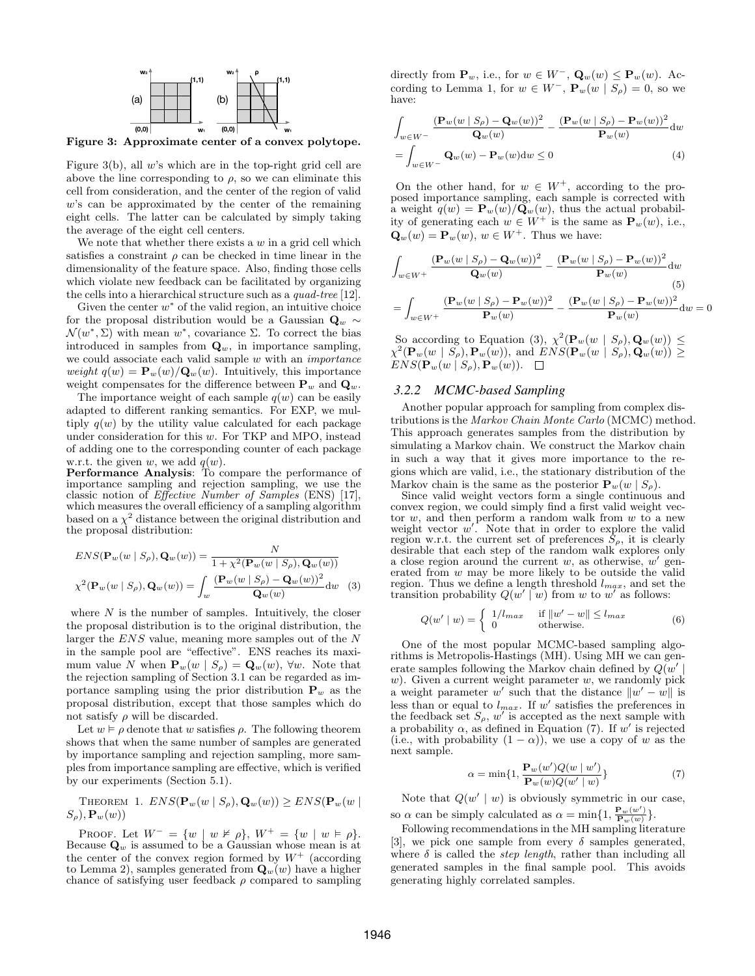

Figure 3: Approximate center of a convex polytope.

Figure 3(b), all  $w$ 's which are in the top-right grid cell are above the line corresponding to  $\rho$ , so we can eliminate this cell from consideration, and the center of the region of valid w's can be approximated by the center of the remaining eight cells. The latter can be calculated by simply taking the average of the eight cell centers.

We note that whether there exists a  $w$  in a grid cell which satisfies a constraint  $\rho$  can be checked in time linear in the dimensionality of the feature space. Also, finding those cells which violate new feedback can be facilitated by organizing the cells into a hierarchical structure such as a quad-tree [12].

Given the center  $w^*$  of the valid region, an intuitive choice for the proposal distribution would be a Gaussian  $\mathbf{Q}_w$  ∼  $\mathcal{N}(w^*, \Sigma)$  with mean  $w^*$ , covariance  $\Sigma$ . To correct the bias introduced in samples from  $\mathbf{Q}_w$ , in importance sampling, we could associate each valid sample  $w$  with an *importance* weight  $q(w) = \mathbf{P}_w(w) / \mathbf{Q}_w(w)$ . Intuitively, this importance weight compensates for the difference between  $\mathbf{P}_w$  and  $\mathbf{Q}_w$ .

The importance weight of each sample  $q(w)$  can be easily adapted to different ranking semantics. For EXP, we multiply  $q(w)$  by the utility value calculated for each package under consideration for this w. For TKP and MPO, instead of adding one to the corresponding counter of each package w.r.t. the given w, we add  $q(w)$ .

Performance Analysis: To compare the performance of importance sampling and rejection sampling, we use the classic notion of Effective Number of Samples (ENS) [17], which measures the overall efficiency of a sampling algorithm based on a  $\chi^2$  distance between the original distribution and the proposal distribution:

$$
ENS(\mathbf{P}_w(w \mid S_\rho), \mathbf{Q}_w(w)) = \frac{N}{1 + \chi^2(\mathbf{P}_w(w \mid S_\rho), \mathbf{Q}_w(w))}
$$

$$
\chi^2(\mathbf{P}_w(w \mid S_\rho), \mathbf{Q}_w(w)) = \int_w \frac{(\mathbf{P}_w(w \mid S_\rho) - \mathbf{Q}_w(w))^2}{\mathbf{Q}_w(w)} dw \quad (3)
$$

where  $N$  is the number of samples. Intuitively, the closer the proposal distribution is to the original distribution, the larger the  $ENS$  value, meaning more samples out of the  $N$ in the sample pool are "effective". ENS reaches its maximum value N when  $\mathbf{P}_w(w \mid S_\rho) = \mathbf{Q}_w(w)$ ,  $\forall w$ . Note that the rejection sampling of Section 3.1 can be regarded as importance sampling using the prior distribution  $P_w$  as the proposal distribution, except that those samples which do not satisfy  $\rho$  will be discarded.

Let  $w \models \rho$  denote that w satisfies  $\rho$ . The following theorem shows that when the same number of samples are generated by importance sampling and rejection sampling, more samples from importance sampling are effective, which is verified by our experiments (Section 5.1).

THEOREM 1. 
$$
ENS(\mathbf{P}_w(w | S_\rho), \mathbf{Q}_w(w)) \ge ENS(\mathbf{P}_w(w | S_\rho), \mathbf{P}_w(w))
$$

PROOF. Let  $W^- = \{w \mid w \not\vDash \rho\}$ ,  $W^+ = \{w \mid w \models \rho\}$ . Because  $\mathbf{Q}_w$  is assumed to be a Gaussian whose mean is at the center of the convex region formed by  $W^+$  (according to Lemma 2), samples generated from  $\mathbf{Q}_{w}(w)$  have a higher chance of satisfying user feedback  $\rho$  compared to sampling directly from  $\mathbf{P}_w$ , i.e., for  $w \in W^-$ ,  $\mathbf{Q}_w(w) \le \mathbf{P}_w(w)$ . According to Lemma 1, for  $w \in W^-$ ,  $\mathbf{P}_w(w | S_\rho) = 0$ , so we have:

$$
\int_{w \in W^{-}} \frac{(\mathbf{P}_w(w \mid S_\rho) - \mathbf{Q}_w(w))^2}{\mathbf{Q}_w(w)} - \frac{(\mathbf{P}_w(w \mid S_\rho) - \mathbf{P}_w(w))^2}{\mathbf{P}_w(w)} dw
$$
\n
$$
= \int_{w \in W^{-}} \mathbf{Q}_w(w) - \mathbf{P}_w(w) dw \le 0 \tag{4}
$$

On the other hand, for  $w \in W^+$ , according to the proposed importance sampling, each sample is corrected with a weight  $q(w) = \mathbf{P}_w(w) / \tilde{\mathbf{Q}_w}(w)$ , thus the actual probability of generating each  $w \in W^+$  is the same as  $\mathbf{P}_w(w)$ , i.e.,  $\mathbf{Q}_w(w) = \mathbf{P}_w(w), w \in W^+$ . Thus we have:

$$
\int_{w \in W^{+}} \frac{(\mathbf{P}_{w}(w \mid S_{\rho}) - \mathbf{Q}_{w}(w))^{2}}{\mathbf{Q}_{w}(w)} - \frac{(\mathbf{P}_{w}(w \mid S_{\rho}) - \mathbf{P}_{w}(w))^{2}}{\mathbf{P}_{w}(w)} dw
$$
\n
$$
= \int_{w \in W^{+}} \frac{(\mathbf{P}_{w}(w \mid S_{\rho}) - \mathbf{P}_{w}(w))^{2}}{\mathbf{P}_{w}(w)} - \frac{(\mathbf{P}_{w}(w \mid S_{\rho}) - \mathbf{P}_{w}(w))^{2}}{\mathbf{P}_{w}(w)} dw = 0
$$

So according to Equation (3),  $\chi^2(\mathbf{P}_w(w \mid S_\rho), \mathbf{Q}_w(w)) \leq$  $\chi^2(\mathbf{P}_w(w \mid S_\rho), \mathbf{P}_w(w)),$  and  $ENS(\mathbf{P}_w(w \mid S_\rho), \mathbf{Q}_w(w)) \geq$  $ENS(\mathbf{P}_w(w \mid S_\rho), \mathbf{P}_w(w)). \square$ 

#### *3.2.2 MCMC-based Sampling*

Another popular approach for sampling from complex distributions is the Markov Chain Monte Carlo (MCMC) method. This approach generates samples from the distribution by simulating a Markov chain. We construct the Markov chain in such a way that it gives more importance to the regions which are valid, i.e., the stationary distribution of the Markov chain is the same as the posterior  $P_w(w | S_o)$ .

Since valid weight vectors form a single continuous and convex region, we could simply find a first valid weight vector  $w$ , and then perform a random walk from  $w$  to a new weight vector  $w'$ . Note that in order to explore the valid region w.r.t. the current set of preferences  $S_{\rho}$ , it is clearly desirable that each step of the random walk explores only a close region around the current  $w$ , as otherwise,  $w'$  generated from w may be more likely to be outside the valid region. Thus we define a length threshold  $l_{max}$ , and set the transition probability  $Q(w' | w)$  from w to  $w'$  as follows:

$$
Q(w' \mid w) = \begin{cases} 1/l_{max} & \text{if } ||w' - w|| \le l_{max} \\ 0 & \text{otherwise.} \end{cases}
$$
 (6)

One of the most popular MCMC-based sampling algorithms is Metropolis-Hastings (MH). Using MH we can generate samples following the Markov chain defined by  $Q(w')$ w). Given a current weight parameter w, we randomly pick a weight parameter w' such that the distance  $\|w' - w\|$  is less than or equal to  $l_{max}$ . If w' satisfies the preferences in the feedback set  $S_{\rho}$ , w' is accepted as the next sample with a probability  $\alpha$ , as defined in Equation (7). If w' is rejected (i.e., with probability  $(1 - \alpha)$ ), we use a copy of w as the next sample.

$$
\alpha = \min\{1, \frac{\mathbf{P}_w(w')Q(w \mid w')}{\mathbf{P}_w(w)Q(w' \mid w)}\}\tag{7}
$$

Note that  $Q(w' | w)$  is obviously symmetric in our case, so  $\alpha$  can be simply calculated as  $\alpha = \min\{1, \frac{\mathbf{P}_w(w')}{\mathbf{P}_w(w)}\}.$ 

Following recommendations in the MH sampling literature [3], we pick one sample from every  $\delta$  samples generated, where  $\delta$  is called the *step length*, rather than including all generated samples in the final sample pool. This avoids generating highly correlated samples.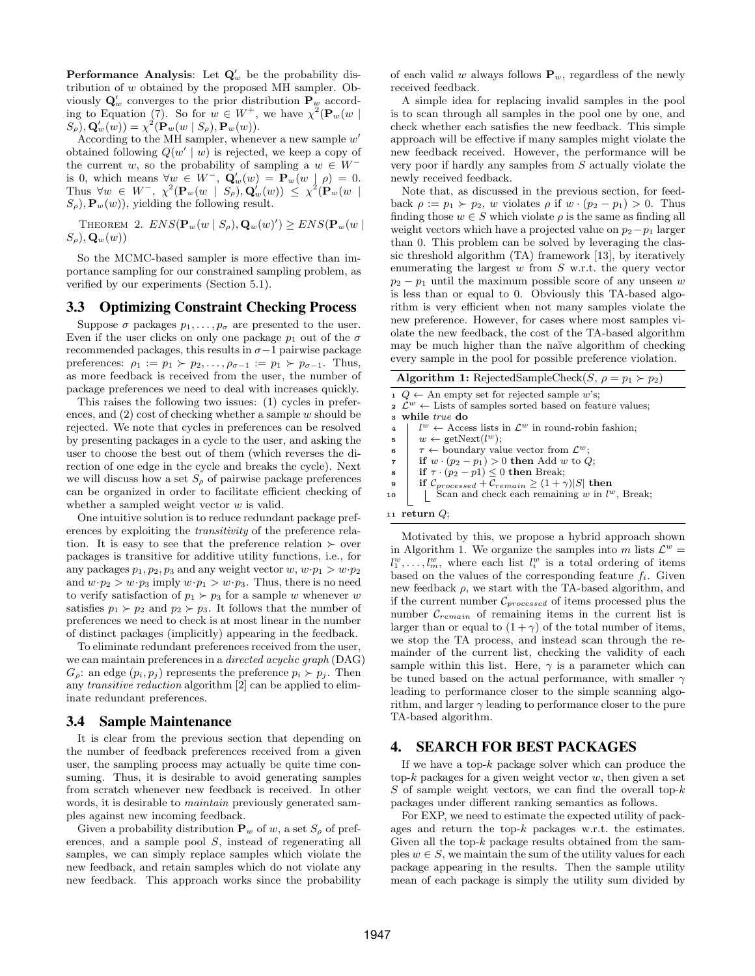**Performance Analysis:** Let  $Q'_w$  be the probability distribution of w obtained by the proposed MH sampler. Obviously  $\mathbf{Q}'_w$  converges to the prior distribution  $\mathbf{P}_w$  according to Equation (7). So for  $w \in W^+$ , we have  $\chi^2(\mathbf{P}_w(w))$  $(S_{\rho}), \mathbf{Q}'_{w}(w)) = \chi^{2}(\mathbf{P}_{w}(w \mid S_{\rho}), \mathbf{P}_{w}(w)).$ 

According to the MH sampler, whenever a new sample  $w'$ obtained following  $Q(w' | w)$  is rejected, we keep a copy of the current w, so the probability of sampling a  $w \in W^$ is 0, which means  $\forall w \in W^-$ ,  $\mathbf{Q}'_w(w) = \mathbf{P}_w(w | \rho) = 0$ . Thus  $\forall w \in W^-$ ,  $\chi^2(\mathbf{P}_w(w \mid S_\rho), \mathbf{Q}_w'(w)) \leq \chi^2(\mathbf{P}_w(w \mid S_\rho))$  $(S_\rho), \mathbf{P}_w(w)$ , yielding the following result.

THEOREM 2. 
$$
ENS(\mathbf{P}_w(w | S_\rho), \mathbf{Q}_w(w')) \ge ENS(\mathbf{P}_w(w | S_\rho), \mathbf{Q}_w(w))
$$

So the MCMC-based sampler is more effective than importance sampling for our constrained sampling problem, as verified by our experiments (Section 5.1).

## 3.3 Optimizing Constraint Checking Process

Suppose  $\sigma$  packages  $p_1, \ldots, p_{\sigma}$  are presented to the user. Even if the user clicks on only one package  $p_1$  out of the  $\sigma$ recommended packages, this results in  $\sigma-1$  pairwise package preferences:  $\rho_1 := p_1 \succ p_2, \ldots, \rho_{\sigma-1} := p_1 \succ p_{\sigma-1}$ . Thus, as more feedback is received from the user, the number of package preferences we need to deal with increases quickly.

This raises the following two issues: (1) cycles in preferences, and  $(2)$  cost of checking whether a sample w should be rejected. We note that cycles in preferences can be resolved by presenting packages in a cycle to the user, and asking the user to choose the best out of them (which reverses the direction of one edge in the cycle and breaks the cycle). Next we will discuss how a set  $S_{\rho}$  of pairwise package preferences can be organized in order to facilitate efficient checking of whether a sampled weight vector  $w$  is valid.

One intuitive solution is to reduce redundant package preferences by exploiting the transitivity of the preference relation. It is easy to see that the preference relation  $\succ$  over packages is transitive for additive utility functions, i.e., for any packages  $p_1, p_2, p_3$  and any weight vector  $w, w \cdot p_1 > w \cdot p_2$ and  $w \cdot p_2 > w \cdot p_3$  imply  $w \cdot p_1 > w \cdot p_3$ . Thus, there is no need to verify satisfaction of  $p_1 \succ p_3$  for a sample w whenever w satisfies  $p_1 \succ p_2$  and  $p_2 \succ p_3$ . It follows that the number of preferences we need to check is at most linear in the number of distinct packages (implicitly) appearing in the feedback.

To eliminate redundant preferences received from the user, we can maintain preferences in a directed acyclic graph (DAG)  $G_{\rho}$ : an edge  $(p_i, p_j)$  represents the preference  $p_i \succ p_j$ . Then any transitive reduction algorithm [2] can be applied to eliminate redundant preferences.

## 3.4 Sample Maintenance

It is clear from the previous section that depending on the number of feedback preferences received from a given user, the sampling process may actually be quite time consuming. Thus, it is desirable to avoid generating samples from scratch whenever new feedback is received. In other words, it is desirable to maintain previously generated samples against new incoming feedback.

Given a probability distribution  $P_w$  of w, a set  $S_o$  of preferences, and a sample pool S, instead of regenerating all samples, we can simply replace samples which violate the new feedback, and retain samples which do not violate any new feedback. This approach works since the probability of each valid w always follows  $\mathbf{P}_w$ , regardless of the newly received feedback.

A simple idea for replacing invalid samples in the pool is to scan through all samples in the pool one by one, and check whether each satisfies the new feedback. This simple approach will be effective if many samples might violate the new feedback received. However, the performance will be very poor if hardly any samples from S actually violate the newly received feedback.

Note that, as discussed in the previous section, for feedback  $\rho := p_1 \succ p_2$ , w violates  $\rho$  if  $w \cdot (p_2 - p_1) > 0$ . Thus finding those  $w \in S$  which violate  $\rho$  is the same as finding all weight vectors which have a projected value on  $p_2-p_1$  larger than 0. This problem can be solved by leveraging the classic threshold algorithm (TA) framework [13], by iteratively enumerating the largest  $w$  from  $S$  w.r.t. the query vector  $p_2 - p_1$  until the maximum possible score of any unseen w is less than or equal to 0. Obviously this TA-based algorithm is very efficient when not many samples violate the new preference. However, for cases where most samples violate the new feedback, the cost of the TA-based algorithm may be much higher than the naïve algorithm of checking every sample in the pool for possible preference violation.

| <b>Algorithm 1:</b> RejectedSampleCheck(S, $\rho = p_1 \succ p_2$ )                        |  |  |  |  |
|--------------------------------------------------------------------------------------------|--|--|--|--|
| $1 \ Q \leftarrow$ An empty set for rejected sample w's;                                   |  |  |  |  |
| $2 \mathcal{L}^w \leftarrow$ Lists of samples sorted based on feature values;              |  |  |  |  |
| while <i>true</i> do<br>$\mathbf{a}$                                                       |  |  |  |  |
| $l^w \leftarrow$ Access lists in $\mathcal{L}^w$ in round-robin fashion;<br>$\overline{4}$ |  |  |  |  |
| $w \leftarrow \text{getNext}(l^w);$<br>5                                                   |  |  |  |  |
| $\tau \leftarrow$ boundary value vector from $\mathcal{L}^w$ ;<br>6                        |  |  |  |  |
| if $w \cdot (p_2 - p_1) > 0$ then Add w to Q;<br>$\overline{7}$                            |  |  |  |  |
| if $\tau \cdot (p_2 - p_1) \leq 0$ then Break;<br>8                                        |  |  |  |  |
| if $\mathcal{C}_{processed} + \mathcal{C}_{remain} \geq (1 + \gamma) S $ then<br>9         |  |  |  |  |
| Scan and check each remaining $w$ in $l^w$ , Break;<br>10                                  |  |  |  |  |
|                                                                                            |  |  |  |  |
| 11 return $Q$ :                                                                            |  |  |  |  |

Motivated by this, we propose a hybrid approach shown in Algorithm 1. We organize the samples into m lists  $\mathcal{L}^w =$  $l_1^w, \ldots, l_m^w$ , where each list  $l_i^w$  is a total ordering of items based on the values of the corresponding feature  $f_i$ . Given new feedback  $\rho$ , we start with the TA-based algorithm, and if the current number  $C_{processed}$  of items processed plus the number  $\mathcal{C}_{remain}$  of remaining items in the current list is larger than or equal to  $(1 + \gamma)$  of the total number of items, we stop the TA process, and instead scan through the remainder of the current list, checking the validity of each sample within this list. Here,  $\gamma$  is a parameter which can be tuned based on the actual performance, with smaller  $\gamma$ leading to performance closer to the simple scanning algorithm, and larger  $\gamma$  leading to performance closer to the pure TA-based algorithm.

# 4. SEARCH FOR BEST PACKAGES

If we have a top- $k$  package solver which can produce the top- $k$  packages for a given weight vector  $w$ , then given a set  $S$  of sample weight vectors, we can find the overall top- $k$ packages under different ranking semantics as follows.

For EXP, we need to estimate the expected utility of packages and return the top-k packages w.r.t. the estimates. Given all the top- $k$  package results obtained from the samples  $w \in S$ , we maintain the sum of the utility values for each package appearing in the results. Then the sample utility mean of each package is simply the utility sum divided by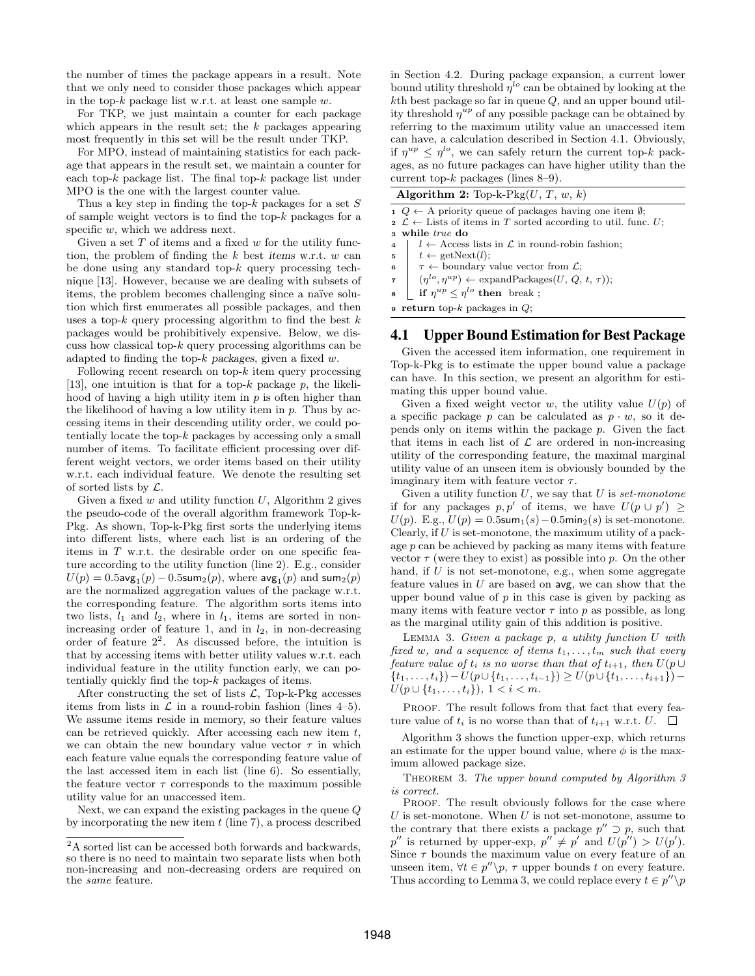the number of times the package appears in a result. Note that we only need to consider those packages which appear in the top- $k$  package list w.r.t. at least one sample  $w$ .

For TKP, we just maintain a counter for each package which appears in the result set; the  $k$  packages appearing most frequently in this set will be the result under TKP.

For MPO, instead of maintaining statistics for each package that appears in the result set, we maintain a counter for each top- $k$  package list. The final top- $k$  package list under MPO is the one with the largest counter value.

Thus a key step in finding the top- $k$  packages for a set  $S$ of sample weight vectors is to find the top- $k$  packages for a specific  $w$ , which we address next.

Given a set  $T$  of items and a fixed  $w$  for the utility function, the problem of finding the  $k$  best items w.r.t.  $w$  can be done using any standard top-k query processing technique [13]. However, because we are dealing with subsets of items, the problem becomes challenging since a naïve solution which first enumerates all possible packages, and then uses a top- $k$  query processing algorithm to find the best  $k$ packages would be prohibitively expensive. Below, we discuss how classical top- $k$  query processing algorithms can be adapted to finding the top- $k$  packages, given a fixed  $w$ .

Following recent research on top- $k$  item query processing [13], one intuition is that for a top- $k$  package  $p$ , the likelihood of having a high utility item in  $p$  is often higher than the likelihood of having a low utility item in  $p$ . Thus by accessing items in their descending utility order, we could potentially locate the top- $k$  packages by accessing only a small number of items. To facilitate efficient processing over different weight vectors, we order items based on their utility w.r.t. each individual feature. We denote the resulting set of sorted lists by  $\mathcal{L}$ .

Given a fixed  $w$  and utility function  $U$ , Algorithm 2 gives the pseudo-code of the overall algorithm framework Top-k-Pkg. As shown, Top-k-Pkg first sorts the underlying items into different lists, where each list is an ordering of the items in T w.r.t. the desirable order on one specific feature according to the utility function (line 2). E.g., consider  $U(p) = 0.5$ avg $_1(p) - 0.5$ sum $_2(p)$ , where avg $_1(p)$  and sum $_2(p)$ are the normalized aggregation values of the package w.r.t. the corresponding feature. The algorithm sorts items into two lists,  $l_1$  and  $l_2$ , where in  $l_1$ , items are sorted in nonincreasing order of feature 1, and in  $l_2$ , in non-decreasing order of feature  $2^2$ . As discussed before, the intuition is that by accessing items with better utility values w.r.t. each individual feature in the utility function early, we can potentially quickly find the top- $k$  packages of items.

After constructing the set of lists  $\mathcal{L}$ , Top-k-Pkg accesses items from lists in  $\mathcal L$  in a round-robin fashion (lines 4–5). We assume items reside in memory, so their feature values can be retrieved quickly. After accessing each new item  $t$ , we can obtain the new boundary value vector  $\tau$  in which each feature value equals the corresponding feature value of the last accessed item in each list (line 6). So essentially, the feature vector  $\tau$  corresponds to the maximum possible utility value for an unaccessed item.

Next, we can expand the existing packages in the queue Q by incorporating the new item  $t$  (line 7), a process described in Section 4.2. During package expansion, a current lower bound utility threshold  $\eta^{lo}$  can be obtained by looking at the  $k$ th best package so far in queue  $Q$ , and an upper bound utility threshold  $\eta^{up}$  of any possible package can be obtained by referring to the maximum utility value an unaccessed item can have, a calculation described in Section 4.1. Obviously, if  $\eta^{up} \leq \eta^{lo}$ , we can safely return the current top-k packages, as no future packages can have higher utility than the current top- $k$  packages (lines 8–9).

| Algorithm 2: Top-k-Pkg $(U, T, w, k)$ |  |  |  |  |  |  |
|---------------------------------------|--|--|--|--|--|--|
|---------------------------------------|--|--|--|--|--|--|

|              | $\alpha Q \leftarrow A$ priority queue of packages having one item $\emptyset$ ;                 |
|--------------|--------------------------------------------------------------------------------------------------|
|              | $\mathbf{z} \in \mathcal{L}$ $\leftarrow$ Lists of items in T sorted according to util. func. U. |
|              | s while <i>true</i> do                                                                           |
| 4            | $l \leftarrow$ Access lists in $\mathcal L$ in round-robin fashion;                              |
| $5 \quad$    | $t \leftarrow \text{getNext}(l);$                                                                |
| 6            | $\tau \leftarrow$ boundary value vector from $\mathcal{L}$ ;                                     |
| $\pmb{\tau}$ | $(\eta^{lo}, \eta^{up}) \leftarrow \text{expandPackages}(U, Q, t, \tau));$                       |
| 8            | if $\eta^{up} \leq \eta^{lo}$ then break;                                                        |
|              | <b>9</b> return top-k packages in $Q$ .                                                          |

Given the accessed item information, one requirement in Top-k-Pkg is to estimate the upper bound value a package can have. In this section, we present an algorithm for estimating this upper bound value.

Given a fixed weight vector w, the utility value  $U(p)$  of a specific package p can be calculated as  $p \cdot w$ , so it depends only on items within the package p. Given the fact that items in each list of  $\mathcal L$  are ordered in non-increasing utility of the corresponding feature, the maximal marginal utility value of an unseen item is obviously bounded by the imaginary item with feature vector  $\tau$ .

Given a utility function  $U$ , we say that  $U$  is set-monotone if for any packages  $p, p'$  of items, we have  $U(p \cup p') \geq$  $U(p)$ . E.g.,  $U(p) = 0.5$ sum $_1(s) - 0.5$ min $_2(s)$  is set-monotone. Clearly, if  $U$  is set-monotone, the maximum utility of a package p can be achieved by packing as many items with feature vector  $\tau$  (were they to exist) as possible into p. On the other hand, if  $U$  is not set-monotone, e.g., when some aggregate feature values in  $U$  are based on  $\alpha$  avg, we can show that the upper bound value of  $p$  in this case is given by packing as many items with feature vector  $\tau$  into p as possible, as long as the marginal utility gain of this addition is positive.

LEMMA 3. Given a package  $p$ , a utility function  $U$  with fixed w, and a sequence of items  $t_1, \ldots, t_m$  such that every feature value of  $t_i$  is no worse than that of  $t_{i+1}$ , then  $U(p \cup$  ${t_1, \ldots, t_i}$ ) –  $U(p \cup {t_1, \ldots, t_{i-1}}) \ge U(p \cup {t_1, \ldots, t_{i+1}})$  –  $U(p \cup \{t_1, \ldots, t_i\}), \ 1 < i < m.$ 

PROOF. The result follows from that fact that every feature value of  $t_i$  is no worse than that of  $t_{i+1}$  w.r.t.  $U$ .  $\Box$ 

Algorithm 3 shows the function upper-exp, which returns an estimate for the upper bound value, where  $\phi$  is the maximum allowed package size.

THEOREM 3. The upper bound computed by Algorithm 3 is correct.

PROOF. The result obviously follows for the case where U is set-monotone. When U is not set-monotone, assume to the contrary that there exists a package  $p'' \supset p$ , such that  $p''$  is returned by upper-exp,  $p'' \neq p'$  and  $U(p'') > U(p')$ . Since  $\tau$  bounds the maximum value on every feature of an unseen item,  $\forall t \in p''\pmb{\setminus} p$ ,  $\tau$  upper bounds t on every feature. Thus according to Lemma 3, we could replace every  $t \in p'' \setminus p$ 

 ${\rm ^2A}$  sorted list can be accessed both forwards and backwards, so there is no need to maintain two separate lists when both non-increasing and non-decreasing orders are required on the same feature.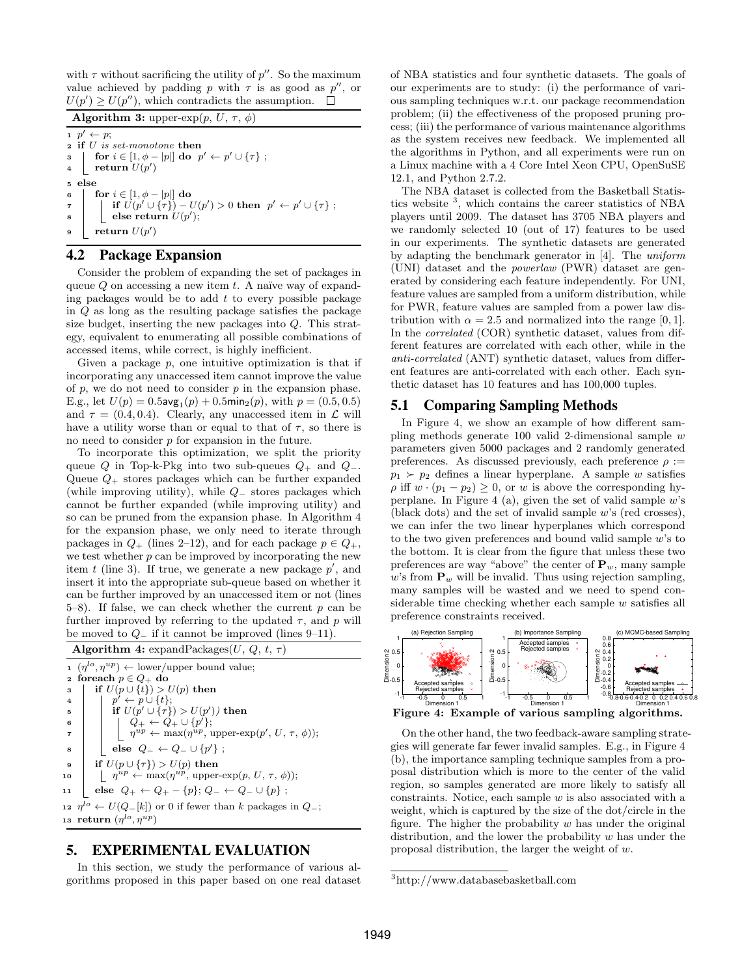with  $\tau$  without sacrificing the utility of  $p''$ . So the maximum value achieved by padding p with  $\tau$  is as good as p'', or  $U(p') \geq U(p'')$ , which contradicts the assumption.  $\Box$ 

Algorithm 3: upper-exp $(p, U, \tau, \phi)$  $1 p'$  $\leftarrow p;$  $2$  if U is set-monotone then  $\mathbf{a} \quad | \quad \text{for } i \in [1, \phi - |p|] \text{ do } p' \leftarrow p' \cup \{\tau\} ;$ 4 return  $U(p')$ <sup>5</sup> else 6  $\vert$  for  $i \in [1, \phi - |p|]$  do  $\tau$  | if  $U(p' \cup {\{\tau\}}) - U(p') > 0$  then  $p' \leftarrow p' \cup {\{\tau\}};$  $\mathbf{s}$  | else return  $U(p')$ ;  $9 \quad | \quad \textbf{return} \; U(p')$ 

## 4.2 Package Expansion

Consider the problem of expanding the set of packages in queue  $Q$  on accessing a new item  $t$ . A naïve way of expanding packages would be to add  $t$  to every possible package in Q as long as the resulting package satisfies the package size budget, inserting the new packages into Q. This strategy, equivalent to enumerating all possible combinations of accessed items, while correct, is highly inefficient.

Given a package  $p$ , one intuitive optimization is that if incorporating any unaccessed item cannot improve the value of  $p$ , we do not need to consider  $p$  in the expansion phase. E.g., let  $U(p) = 0.5$ avg $_1(p) + 0.5$ min $_2(p)$ , with  $p = (0.5, 0.5)$ and  $\tau = (0.4, 0.4)$ . Clearly, any unaccessed item in  $\mathcal{L}$  will have a utility worse than or equal to that of  $\tau$ , so there is no need to consider  $p$  for expansion in the future.

To incorporate this optimization, we split the priority queue  $Q$  in Top-k-Pkg into two sub-queues  $Q_+$  and  $Q_-$ . Queue  $Q_+$  stores packages which can be further expanded (while improving utility), while Q<sup>−</sup> stores packages which cannot be further expanded (while improving utility) and so can be pruned from the expansion phase. In Algorithm 4 for the expansion phase, we only need to iterate through packages in  $Q_+$  (lines 2–12), and for each package  $p \in Q_+$ , we test whether  $p$  can be improved by incorporating the new item t (line 3). If true, we generate a new package  $p'$ , and insert it into the appropriate sub-queue based on whether it can be further improved by an unaccessed item or not (lines 5–8). If false, we can check whether the current  $p$  can be further improved by referring to the updated  $\tau$ , and p will be moved to  $Q_-\,$  if it cannot be improved (lines 9–11).

| <b>Algorithm 4:</b> expandPackages( <i>U</i> , <i>Q</i> , <i>t</i> , $\tau$ )                                                        |  |  |  |  |  |
|--------------------------------------------------------------------------------------------------------------------------------------|--|--|--|--|--|
| $\eta^{lo}, \eta^{up} \rangle \leftarrow$ lower/upper bound value;                                                                   |  |  |  |  |  |
| foreach $p \in Q_+$ do<br>$\overline{2}$                                                                                             |  |  |  |  |  |
| if $U(p \cup \{t\}) > U(p)$ then<br>3                                                                                                |  |  |  |  |  |
| $p' \leftarrow p \cup \{t\};$<br>4                                                                                                   |  |  |  |  |  |
| if $U(p' \cup \{\tau\}) > U(p')$ then<br>5                                                                                           |  |  |  |  |  |
| в                                                                                                                                    |  |  |  |  |  |
| $Q_+ \leftarrow Q_+ \cup \{p'\};$<br>$\eta^{up} \leftarrow \max(\eta^{up}, \text{ upper-exp}(p', U, \tau, \phi));$<br>$\overline{7}$ |  |  |  |  |  |
| else $Q_- \leftarrow Q_- \cup \{p'\}$ ;<br>8                                                                                         |  |  |  |  |  |
| if $U(p \cup \{\tau\}) > U(p)$ then<br>9                                                                                             |  |  |  |  |  |
| $ \eta^{up} \leftarrow \max(\eta^{up}, \text{ upper-exp}(p, U, \tau, \phi));$<br>10                                                  |  |  |  |  |  |
| else $Q_+ \leftarrow Q_+ - \{p\}; Q_- \leftarrow Q_- \cup \{p\};$<br>11                                                              |  |  |  |  |  |
| 12 $\eta^{lo} \leftarrow U(Q-[k])$ or 0 if fewer than k packages in $Q_{-}$ ;                                                        |  |  |  |  |  |
| 13 return $(\eta^{lo}, \eta^{up})$                                                                                                   |  |  |  |  |  |

# 5. EXPERIMENTAL EVALUATION

In this section, we study the performance of various algorithms proposed in this paper based on one real dataset of NBA statistics and four synthetic datasets. The goals of our experiments are to study: (i) the performance of various sampling techniques w.r.t. our package recommendation problem; (ii) the effectiveness of the proposed pruning process; (iii) the performance of various maintenance algorithms as the system receives new feedback. We implemented all the algorithms in Python, and all experiments were run on a Linux machine with a 4 Core Intel Xeon CPU, OpenSuSE 12.1, and Python 2.7.2.

The NBA dataset is collected from the Basketball Statistics website <sup>3</sup>, which contains the career statistics of NBA players until 2009. The dataset has 3705 NBA players and we randomly selected 10 (out of 17) features to be used in our experiments. The synthetic datasets are generated by adapting the benchmark generator in [4]. The uniform (UNI) dataset and the powerlaw (PWR) dataset are generated by considering each feature independently. For UNI, feature values are sampled from a uniform distribution, while for PWR, feature values are sampled from a power law distribution with  $\alpha = 2.5$  and normalized into the range [0, 1]. In the correlated (COR) synthetic dataset, values from different features are correlated with each other, while in the anti-correlated (ANT) synthetic dataset, values from different features are anti-correlated with each other. Each synthetic dataset has 10 features and has 100,000 tuples.

#### 5.1 Comparing Sampling Methods

In Figure 4, we show an example of how different sampling methods generate 100 valid 2-dimensional sample w parameters given 5000 packages and 2 randomly generated preferences. As discussed previously, each preference  $\rho :=$  $p_1 \succ p_2$  defines a linear hyperplane. A sample w satisfies  $\rho$  iff  $w \cdot (p_1 - p_2) \geq 0$ , or w is above the corresponding hyperplane. In Figure 4 (a), given the set of valid sample  $w$ 's (black dots) and the set of invalid sample w's (red crosses), we can infer the two linear hyperplanes which correspond to the two given preferences and bound valid sample w's to the bottom. It is clear from the figure that unless these two preferences are way "above" the center of  $\mathbf{P}_w$ , many sample w's from  $P_w$  will be invalid. Thus using rejection sampling, many samples will be wasted and we need to spend considerable time checking whether each sample w satisfies all preference constraints received.



On the other hand, the two feedback-aware sampling strategies will generate far fewer invalid samples. E.g., in Figure 4 (b), the importance sampling technique samples from a proposal distribution which is more to the center of the valid region, so samples generated are more likely to satisfy all constraints. Notice, each sample w is also associated with a weight, which is captured by the size of the dot/circle in the figure. The higher the probability  $w$  has under the original distribution, and the lower the probability w has under the proposal distribution, the larger the weight of w.

<sup>3</sup>http://www.databasebasketball.com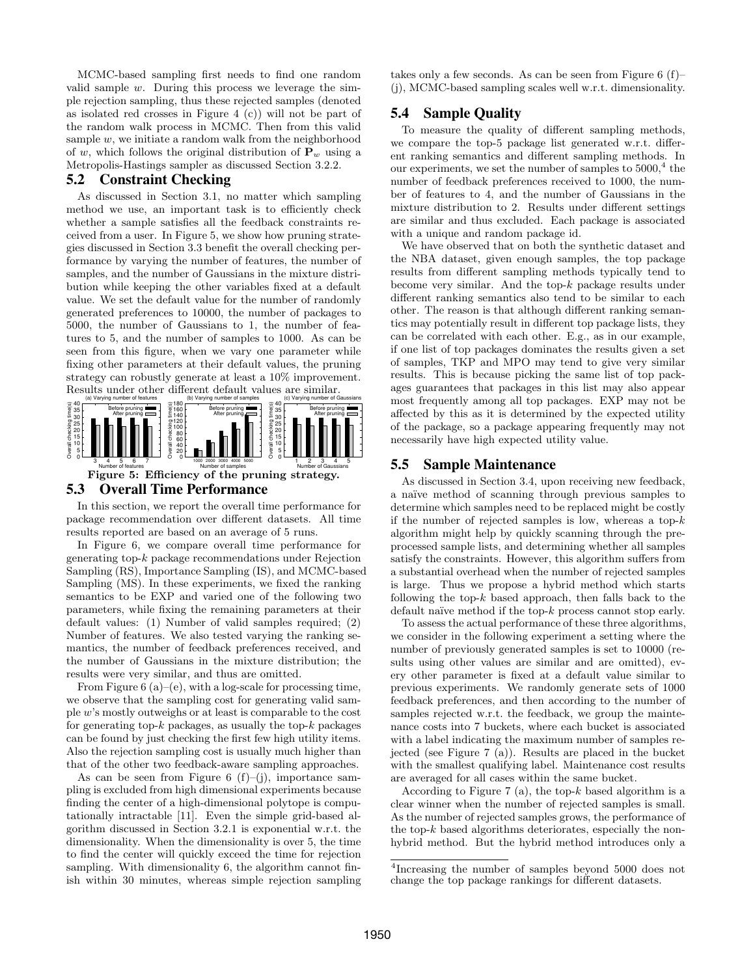MCMC-based sampling first needs to find one random valid sample  $w$ . During this process we leverage the simple rejection sampling, thus these rejected samples (denoted as isolated red crosses in Figure 4 (c)) will not be part of the random walk process in MCMC. Then from this valid sample  $w$ , we initiate a random walk from the neighborhood of w, which follows the original distribution of  $P_w$  using a Metropolis-Hastings sampler as discussed Section 3.2.2.

# 5.2 Constraint Checking

As discussed in Section 3.1, no matter which sampling method we use, an important task is to efficiently check whether a sample satisfies all the feedback constraints received from a user. In Figure 5, we show how pruning strategies discussed in Section 3.3 benefit the overall checking performance by varying the number of features, the number of samples, and the number of Gaussians in the mixture distribution while keeping the other variables fixed at a default value. We set the default value for the number of randomly generated preferences to 10000, the number of packages to 5000, the number of Gaussians to 1, the number of features to 5, and the number of samples to 1000. As can be seen from this figure, when we vary one parameter while fixing other parameters at their default values, the pruning strategy can robustly generate at least a 10% improvement. Results under other different default values are similar.



## 5.3 Overall Time Performance

In this section, we report the overall time performance for package recommendation over different datasets. All time results reported are based on an average of 5 runs.

In Figure 6, we compare overall time performance for generating top-k package recommendations under Rejection Sampling (RS), Importance Sampling (IS), and MCMC-based Sampling (MS). In these experiments, we fixed the ranking semantics to be EXP and varied one of the following two parameters, while fixing the remaining parameters at their default values: (1) Number of valid samples required; (2) Number of features. We also tested varying the ranking semantics, the number of feedback preferences received, and the number of Gaussians in the mixture distribution; the results were very similar, and thus are omitted.

From Figure  $6(a)$ –(e), with a log-scale for processing time, we observe that the sampling cost for generating valid sample w's mostly outweighs or at least is comparable to the cost for generating top- $k$  packages, as usually the top- $k$  packages can be found by just checking the first few high utility items. Also the rejection sampling cost is usually much higher than that of the other two feedback-aware sampling approaches.

As can be seen from Figure 6  $(f)$ – $(i)$ , importance sampling is excluded from high dimensional experiments because finding the center of a high-dimensional polytope is computationally intractable [11]. Even the simple grid-based algorithm discussed in Section 3.2.1 is exponential w.r.t. the dimensionality. When the dimensionality is over 5, the time to find the center will quickly exceed the time for rejection sampling. With dimensionality 6, the algorithm cannot finish within 30 minutes, whereas simple rejection sampling takes only a few seconds. As can be seen from Figure 6 (f)– (j), MCMC-based sampling scales well w.r.t. dimensionality.

## 5.4 Sample Quality

To measure the quality of different sampling methods, we compare the top-5 package list generated w.r.t. different ranking semantics and different sampling methods. In our experiments, we set the number of samples to  $5000<sup>4</sup>$ , the number of feedback preferences received to 1000, the number of features to 4, and the number of Gaussians in the mixture distribution to 2. Results under different settings are similar and thus excluded. Each package is associated with a unique and random package id.

We have observed that on both the synthetic dataset and the NBA dataset, given enough samples, the top package results from different sampling methods typically tend to become very similar. And the top-k package results under different ranking semantics also tend to be similar to each other. The reason is that although different ranking semantics may potentially result in different top package lists, they can be correlated with each other. E.g., as in our example, if one list of top packages dominates the results given a set of samples, TKP and MPO may tend to give very similar results. This is because picking the same list of top packages guarantees that packages in this list may also appear most frequently among all top packages. EXP may not be affected by this as it is determined by the expected utility of the package, so a package appearing frequently may not necessarily have high expected utility value.

## 5.5 Sample Maintenance

As discussed in Section 3.4, upon receiving new feedback, a na¨ıve method of scanning through previous samples to determine which samples need to be replaced might be costly if the number of rejected samples is low, whereas a top- $k$ algorithm might help by quickly scanning through the preprocessed sample lists, and determining whether all samples satisfy the constraints. However, this algorithm suffers from a substantial overhead when the number of rejected samples is large. Thus we propose a hybrid method which starts following the top- $k$  based approach, then falls back to the default naïve method if the top- $k$  process cannot stop early.

To assess the actual performance of these three algorithms, we consider in the following experiment a setting where the number of previously generated samples is set to 10000 (results using other values are similar and are omitted), every other parameter is fixed at a default value similar to previous experiments. We randomly generate sets of 1000 feedback preferences, and then according to the number of samples rejected w.r.t. the feedback, we group the maintenance costs into 7 buckets, where each bucket is associated with a label indicating the maximum number of samples rejected (see Figure 7 (a)). Results are placed in the bucket with the smallest qualifying label. Maintenance cost results are averaged for all cases within the same bucket.

According to Figure 7 (a), the top- $k$  based algorithm is a clear winner when the number of rejected samples is small. As the number of rejected samples grows, the performance of the top-k based algorithms deteriorates, especially the nonhybrid method. But the hybrid method introduces only a

<sup>4</sup> Increasing the number of samples beyond 5000 does not change the top package rankings for different datasets.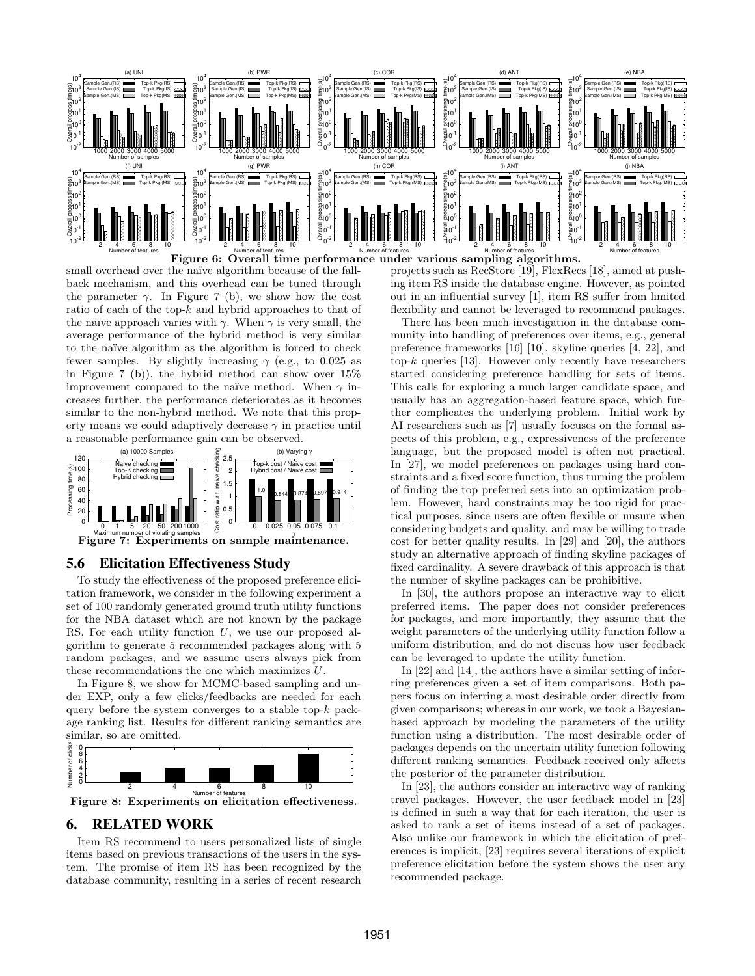

Number of features<br>Figure 6: Overall time performance under various sampling algorithms.

small overhead over the naïve algorithm because of the fallback mechanism, and this overhead can be tuned through the parameter  $\gamma$ . In Figure 7 (b), we show how the cost ratio of each of the top-k and hybrid approaches to that of the naïve approach varies with  $\gamma$ . When  $\gamma$  is very small, the average performance of the hybrid method is very similar to the naïve algorithm as the algorithm is forced to check fewer samples. By slightly increasing  $\gamma$  (e.g., to 0.025 as in Figure 7 (b)), the hybrid method can show over  $15\%$ improvement compared to the naïve method. When  $\gamma$  increases further, the performance deteriorates as it becomes similar to the non-hybrid method. We note that this property means we could adaptively decrease  $\gamma$  in practice until a reasonable performance gain can be observed.



## 5.6 Elicitation Effectiveness Study

To study the effectiveness of the proposed preference elicitation framework, we consider in the following experiment a set of 100 randomly generated ground truth utility functions for the NBA dataset which are not known by the package RS. For each utility function U, we use our proposed algorithm to generate 5 recommended packages along with 5 random packages, and we assume users always pick from these recommendations the one which maximizes U.

In Figure 8, we show for MCMC-based sampling and under EXP, only a few clicks/feedbacks are needed for each query before the system converges to a stable top- $k$  package ranking list. Results for different ranking semantics are similar, so are omitted.



Figure 8: Experiments on elicitation effectiveness.

#### 6. RELATED WORK

Item RS recommend to users personalized lists of single items based on previous transactions of the users in the system. The promise of item RS has been recognized by the database community, resulting in a series of recent research

projects such as RecStore [19], FlexRecs [18], aimed at pushing item RS inside the database engine. However, as pointed out in an influential survey [1], item RS suffer from limited flexibility and cannot be leveraged to recommend packages.

There has been much investigation in the database community into handling of preferences over items, e.g., general preference frameworks [16] [10], skyline queries [4, 22], and top- $k$  queries [13]. However only recently have researchers started considering preference handling for sets of items. This calls for exploring a much larger candidate space, and usually has an aggregation-based feature space, which further complicates the underlying problem. Initial work by AI researchers such as [7] usually focuses on the formal aspects of this problem, e.g., expressiveness of the preference language, but the proposed model is often not practical. In [27], we model preferences on packages using hard constraints and a fixed score function, thus turning the problem of finding the top preferred sets into an optimization problem. However, hard constraints may be too rigid for practical purposes, since users are often flexible or unsure when considering budgets and quality, and may be willing to trade cost for better quality results. In [29] and [20], the authors study an alternative approach of finding skyline packages of fixed cardinality. A severe drawback of this approach is that the number of skyline packages can be prohibitive.

In [30], the authors propose an interactive way to elicit preferred items. The paper does not consider preferences for packages, and more importantly, they assume that the weight parameters of the underlying utility function follow a uniform distribution, and do not discuss how user feedback can be leveraged to update the utility function.

In [22] and [14], the authors have a similar setting of inferring preferences given a set of item comparisons. Both papers focus on inferring a most desirable order directly from given comparisons; whereas in our work, we took a Bayesianbased approach by modeling the parameters of the utility function using a distribution. The most desirable order of packages depends on the uncertain utility function following different ranking semantics. Feedback received only affects the posterior of the parameter distribution.

In [23], the authors consider an interactive way of ranking travel packages. However, the user feedback model in [23] is defined in such a way that for each iteration, the user is asked to rank a set of items instead of a set of packages. Also unlike our framework in which the elicitation of preferences is implicit, [23] requires several iterations of explicit preference elicitation before the system shows the user any recommended package.